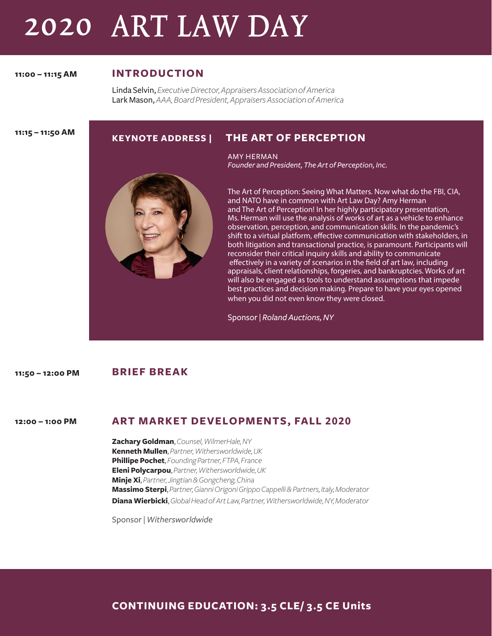# 2020 ART LAW DAY

**11:00 – 11:15 AM**

## **INTRODUCTION**

Linda Selvin, *Executive Director, Appraisers Association of America* Lark Mason, *AAA, Board President, Appraisers Association of America* 

**11:15 – 11:50 AM**

## **KEYNOTE ADDRESS | THE ART OF PERCEPTION**

AMY HERMAN *Founder and President, The Art of Perception, Inc.* 



The Art of Perception: Seeing What Matters. Now what do the FBI, CIA, and NATO have in common with Art Law Day? Amy Herman and The Art of Perception! In her highly participatory presentation, Ms. Herman will use the analysis of works of art as a vehicle to enhance observation, perception, and communication skills. In the pandemic's shift to a virtual platform, effective communication with stakeholders, in both litigation and transactional practice, is paramount. Participants will reconsider their critical inquiry skills and ability to communicate effectively in a variety of scenarios in the field of art law, including appraisals, client relationships, forgeries, and bankruptcies. Works of art will also be engaged as tools to understand assumptions that impede best practices and decision making. Prepare to have your eyes opened when you did not even know they were closed.

Sponsor | *Roland Auctions, NY*

#### **BRIEF BREAK 11:50 – 12:00 PM**

**ART MARKET DEVELOPMENTS, FALL 2020 12:00 – 1:00 PM**

> **Zachary Goldman**, *Counsel, WilmerHale, NY* **Kenneth Mullen**, *Partner, Withersworldwide, UK* **Phillipe Pochet**, *Founding Partner, FTPA, France* **Eleni Polycarpou**, *Partner, Withersworldwide, UK* **Minje Xi**, *Partner, Jingtian & Gongcheng, China* **Massimo Sterpi**, *Partner, Gianni Origoni Grippo Cappelli & Partners, Italy, Moderator* **Diana Wierbicki**, *Global Head of Art Law, Partner, Withersworldwide, NY, Moderator*

Sponsor | *Withersworldwide*

**CONTINUING EDUCATION: 3.5 CLE/ 3.5 CE Units**